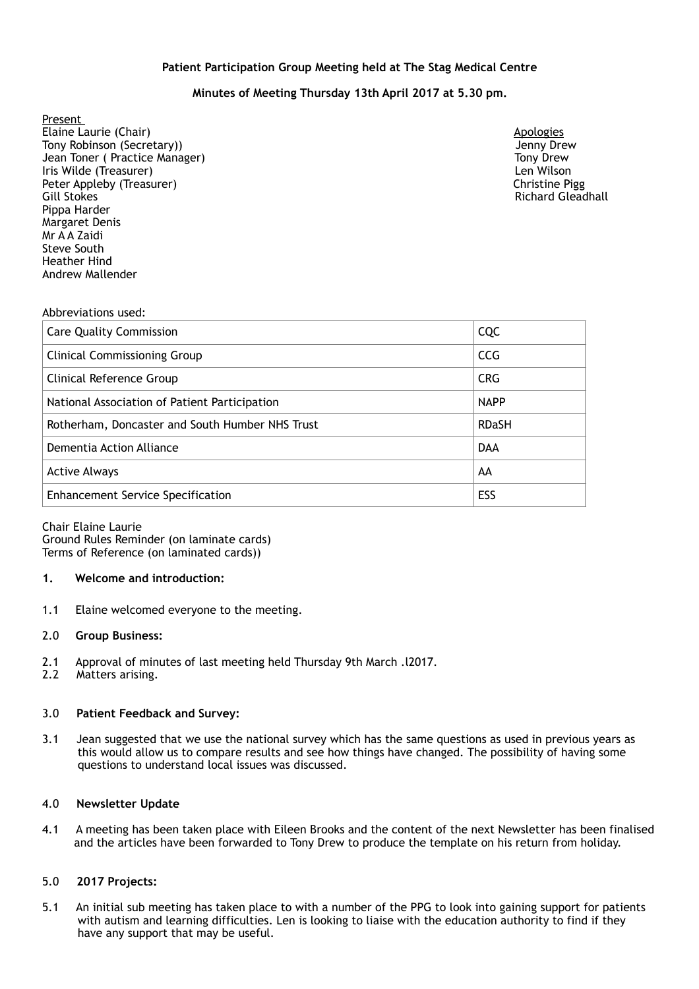## **Patient Participation Group Meeting held at The Stag Medical Centre**

# **Minutes of Meeting Thursday 13th April 2017 at 5.30 pm.**

Present Elaine Laurie (Chair) **Apologies Apologies Apologies Apologies Apologies Apologies** Tony Robinson (Secretary)) Jenny Drew Jean Toner ( Practice Manager) Tony Drew Iris Wilde (Treasurer) Len Wilson Peter Appleby (Treasurer) and the christian end of the christian end of the christian end of the christian end of the christian end of the christian end of the christian end of the christian end of the christian end of the Gill Stokes **Richard Gleadhall** Pippa Harder Margaret Denis Mr A A Zaidi Steve South Heather Hind Andrew Mallender

#### Abbreviations used:

| <b>Care Quality Commission</b>                  | CQC          |
|-------------------------------------------------|--------------|
| <b>Clinical Commissioning Group</b>             | <b>CCG</b>   |
| Clinical Reference Group                        | <b>CRG</b>   |
| National Association of Patient Participation   | <b>NAPP</b>  |
| Rotherham, Doncaster and South Humber NHS Trust | <b>RDaSH</b> |
| Dementia Action Alliance                        | <b>DAA</b>   |
| <b>Active Always</b>                            | AA           |
| <b>Enhancement Service Specification</b>        | ESS          |

Chair Elaine Laurie Ground Rules Reminder (on laminate cards) Terms of Reference (on laminated cards))

#### **1. Welcome and introduction:**

1.1 Elaine welcomed everyone to the meeting.

#### 2.0 **Group Business:**

- 2.1 Approval of minutes of last meeting held Thursday 9th March .l2017.
- 2.2 Matters arising.

#### 3.0 **Patient Feedback and Survey:**

3.1 Jean suggested that we use the national survey which has the same questions as used in previous years as this would allow us to compare results and see how things have changed. The possibility of having some questions to understand local issues was discussed.

#### 4.0 **Newsletter Update**

4.1 A meeting has been taken place with Eileen Brooks and the content of the next Newsletter has been finalised and the articles have been forwarded to Tony Drew to produce the template on his return from holiday.

#### 5.0 **2017 Projects:**

5.1 An initial sub meeting has taken place to with a number of the PPG to look into gaining support for patients with autism and learning difficulties. Len is looking to liaise with the education authority to find if they have any support that may be useful.